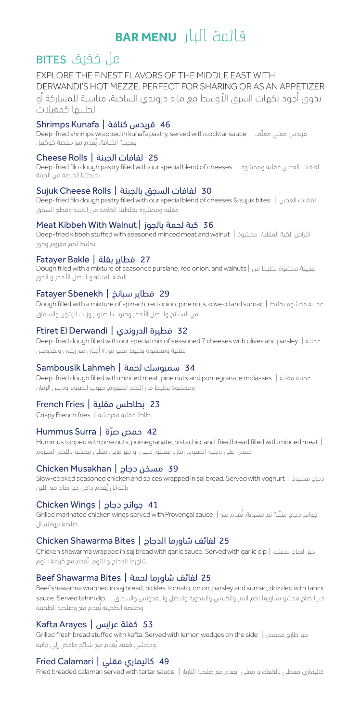# قائمة البار **MENU BAR**

## عل خفيف BITES

EXPLORE THE FINEST FLAVORS OF THE MIDDLE EAST WITH DERWANDI'S HOT MEZZE, PERFECT FOR SHARING OR AS AN APPETIZER تذوق أجود نكهات الشرق الأوسط مع مازة دروندي الساخنة، مناسبة للمشاركة أو لطلبها كمقبالت

## 46 قريدس كنافة | Kunafa Shrimps

Deep-fried shrimps wrapped in kunafa pastry, served with cocktail sauce | فريدس مقلي مغلّف ُ بعجينة الكنافة، يقدم مع صلصة كوكتيل

#### 25 لفافات الجبنة | Rolls Cheese

Deep-fried filo dough pastry filled with our special blend of cheeses | ومحشوة مقلية العجين لفافات بخلطتنا الخاصة من الجبنة

#### 30 لفافات السجق بالجبنة | Rolls Cheese Sujuk

Deep-fried filo dough pastry filled with our special blend of cheeses & sujuk bites | العجين لفافات مقلية ومحشوة بخلطتنا الخاصة من الجبنة وقطع السجق

#### Meat Kibbeh With Walnut | بالجوز لحمة كبة 36

Deep-fried kibbeh stuffed with seasoned minced meat and walnut | أقراص الكبة المقلية، محشوة | بخليط لحم مفروم وجوز

### 27 فطاير بقلة | Bakle Fatayer

Dough filled with a mixture of seasoned purslane, red onion, and walnuts | من بخليط محشوة عجينة البقلة المتبلة و البصل الأحمر و الجوز

#### 29 فطاير سبانخ | Sbenekh Fatayer

Dough filled with a mixture of spinach, red onion, pine nuts, olive oil and sumac | بخليط محشوة عجينة من السبانخ والبصل األحمر وحبوب الصنوبر وزيت الزيتون والسماق

#### Ftiret El Derwandi | الدروندي فطيرة 32

Deep-fried dough filled with our special mix of seasoned 7 cheeses with olives and parsley | عجينة مقلية ومحشوة بخليط مميز من 7 أجبان مع زيتون وبقدونس

#### 34 سمبوسك لحمة | Lahmeh Sambousik

Deep-fried dough filled with minced meat, pine nuts and pomegranate molasses | مقلية عجينة ومحشوة بخليط من اللحم المفروم, حبوب الصنوبر ودبس الرمان

#### 23 بطاطس مقلية | French Fries

بطاطا مقلية مقرمشة | fries French Crispy

#### 42 ّ حمص صرة | Surra Hummus

Hummus topped with pine nuts, pomegranate, pistachio, and fried bread filled with minced meat | حمص على وجهه الصنوبر, رمان, فستق حلبي, و خبز عربي مقلي محشو باللحم المفروم

#### 39 مسخن دجاج | Musakhan Chicken

Slow-cooked seasoned chicken and spices wrapped in saj bread. Served with yoghurt | مطبوخ دجاج ُ بالتوابل يقدم داخل خبز صاج مع اللبن

#### 41 جوانح دجاج | Wings Chicken

جوانح دجاج متبّلة ثم مشوية، تُقدم مع | Grilled marinated chicken wings served with Provençal sauce صلصة بروفنسال

#### 25 لفائف شاورما الدجاج | Bites Shawarma Chicken

Chicken shawarma wrapped in saj bread with garlic sauce. Served with garlic dip | محشو الصاج خبز ُ بشاورما الدجاج و الثوم. يقدم مع كريمة الثوم

#### 25 لفائف شاورما لحمة | Beef Shawarma Bites

Beef shawarma wrapped in saj bread, pickles, tomato, onion, parsley and sumac, drizzled with tahini خبز الصاج محشو بشاورما لحم البقر والكبيس والبندورة والبصل والبقدونس والسماق | .sauce. Served tahini dip ُ وصلصة الطحينة.يقدم مع وصلصة الطحينة

## 53 كفتة عرايس | Arayes Kafta

Grilled fresh bread stuffed with kafta. Served with lemon wedges on the side | محمص طازج خبز ُ ومحشي كفتة. يقدم مع شرائح حامض إلى جانبه

#### 49 كاليماري مقلي | Calamari Fried

كاليماري مغطى بالكعك و مقلي, يقدم مع صلصة التارتار | Fried breaded calamari served with tartar sauce